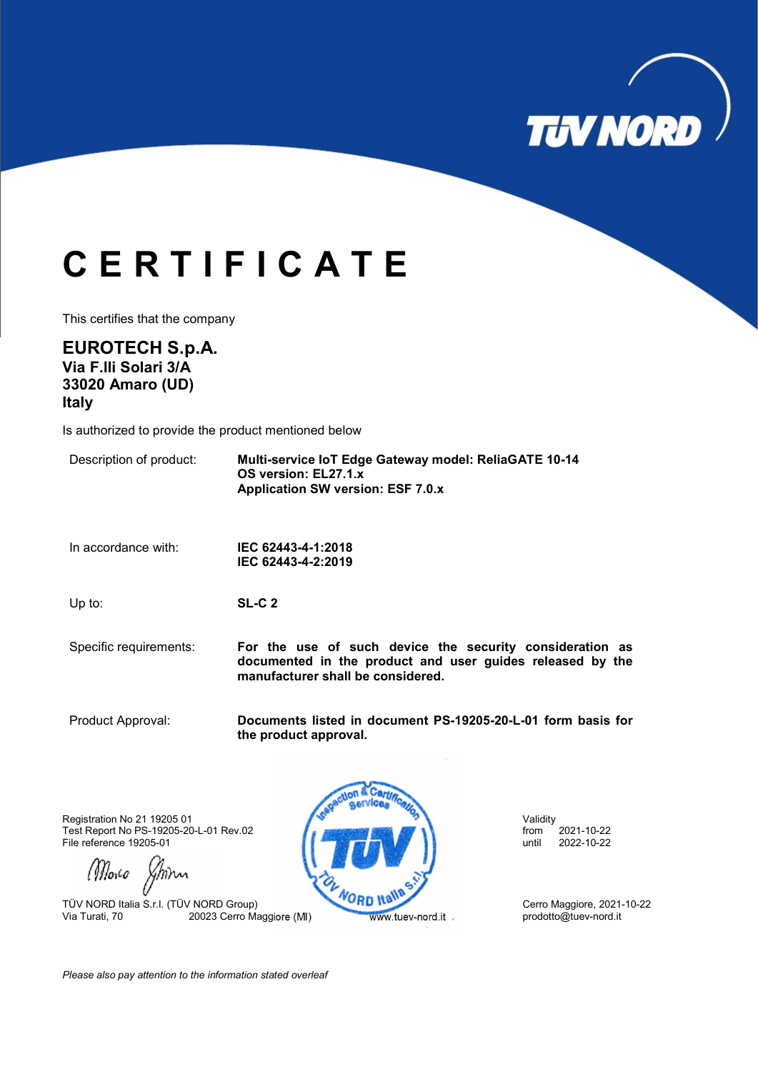

## C E R T I F I C A T E

This certifies that the company

EUROTECH S.p.A. Via F.lli Solari 3/A 33020 Amaro (UD) Italy

Is authorized to provide the product mentioned below

Description of product: Multi-service IoT Edge Gateway model: ReliaGATE 10-14 OS version: EL27.1.x Application SW version: ESF 7.0.x

In accordance with: IEC 62443-4-1:2018 IEC 62443-4-2:2019

Up to: SL-C 2

Specific requirements: For the use of such device the security consideration as documented in the product and user guides released by the manufacturer shall be considered.

Product Approval: Documents listed in document PS-19205-20-L-01 form basis for the product approval.

Registration No 21 19205 01 Validity Test Report No PS-19205-20-L-01 Rev.02 **from 2021-10-22** from 2021-10-22<br>File reference 19205-01 **from** 2022-10-22 File reference 19205-01

(Morco Johnn

TÜV NORD Italia S.r.l. (TÜV NORD Group)<br>Via Turati, 70 20023 Cerro Maggiore (MI) Www.tuev-nord.it prodotto@tuev-nord.it



Please also pay attention to the information stated overleaf